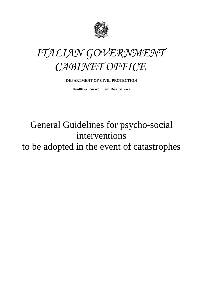



# **DEPARTMENT OF CIVIL PROTECTION**

**Health & Environment Risk Service** 

# General Guidelines for psycho-social interventions to be adopted in the event of catastrophes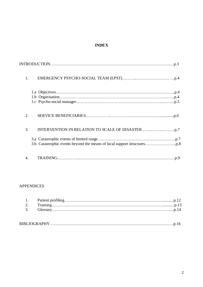# **INDEX**

| 1. |
|----|
|    |
| 2. |
| 3. |
|    |
| 4. |

# APPENDICES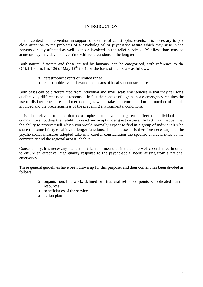## **INTRODUCTION**

In the context of intervention in support of victims of catastrophic events, it is necessary to pay close attention to the problems of a psychological or psychiatric nature which may arise in the persons directly affected as well as those involved in the relief services. Manifestations may be acute or they may develop over time with repercussions in the long term.

Both natural disasters and those caused by humans, can be categorized, with reference to the Official Journal n. 126 of May  $12<sup>th</sup> 2001$ , on the basis of their scale as follows:

- o catastrophic events of limited range
- o catastrophic events beyond the means of local support structures

Both cases can be differentiated from individual and small scale emergencies in that they call for a qualitatively different type of response. In fact the context of a grand scale emergency requires the use of distinct procedures and methodologies which take into consideration the number of people involved and the precariousness of the prevailing environmental conditions.

It is also relevant to note that catastrophes can have a long term effect on individuals and communities, putting their ability to react and adapt under great distress. In fact it can happen that the ability to protect itself which you would normally expect to find in a group of individuals who share the same lifestyle habits, no longer functions. In such cases it is therefore necessary that the psycho-social measures adopted take into careful consideration the specific characteristics of the community and the regional area it inhabits.

Consequently, it is necessary that action taken and measures initiated are well co-ordinated in order to ensure an effective, high quality response to the psycho-social needs arising from a national emergency.

These general guidelines have been drawn up for this purpose, and their content has been divided as follows:

- o organisational network, defined by structural reference points & dedicated human resources
- o beneficiaries of the services
- o action plans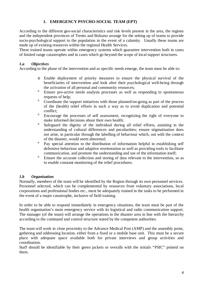# **1. EMERGENCY PSYCHO-SOCIAL TEAM (EPT)**

According to the different geo-social characteristics and risk levels present in the area, the regions and the independent provinces of Trento and Bolzano arrange for the setting up of teams to provide socio-psychological support to the population in the event of a calamity. Usually these teams are made up of existing resources within the regional Health Services.

These trained teams operate within emergency systems which guarantee intervention both in cases of limited range catastrophes and in cases which go beyond the scope of local support structures.

# *1.a Objectives*

According to the phase of the intervention and as specific needs emerge, the team must be able to:

- o Enable deployment of priority measures to ensure the physical survival of the beneficiaries of intervention and look after their psychological well-being through the activation of all personal and community resources;
- <sup>o</sup> Ensure pro-active needs analysis processes as well as responding to spontaneous requests of help;
- Coordinate the support initiatives with those planned/on-going as part of the process of the (health) relief efforts in such a way as to avoid duplication and potential conflict;
- <sup>o</sup> Encourage the processes of self assessment, recognizing the right of everyone to make informed decisions about their own health;
- $\degree$  Safeguard the dignity of the individual during all relief efforts, assisting in the understanding of cultural differences and peculiarities; ensure stigmatisation does not arise, in particular through the labelling of behaviour which, out with the context of the disaster, would seem abnormal;
- $\degree$  Pay special attention to the distribution of information helpful in establishing self defensive behaviour and adaptive reorientation as well as providing tools to facilitate communication, and promote the understanding and use of the information itself;
- <sup>o</sup> Ensure the accurate collection and storing of data relevant to the intervention, so as to enable constant monitoring of the relief procedures.

# *1.b Organisation*

Normally, members of the team will be identified by the Region through its own personnel services. Personnel selected, which can be complemented by resources from voluntary associations, local corporations and professional bodies etc., must be adequately trained in the tasks to be performed in the event of a major catastrophe, inclusive of field training.

In order to be able to respond immediately in emergency situations, the team must be part of the health organisation's main emergency service with its logistical and radio communication support. The manager (of the team) will arrange the operations in the disaster area in line with the hierarchy according to the command and control structure stated by the competent authorities.

The team will work in close proximity to the Advance Medical Post (AMP) and the assembly point, gathering and addressing location, either from a fixed or a mobile base unit. This must be a secure place with adequate space available both for private interviews and group activities and coordination.

Staff should be identifiable by their green jackets or overalls with the initials "PSIC" printed on them.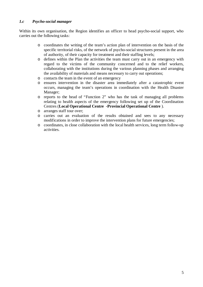# *1.c Psycho-social manager*

Within its own organisation, the Region identifies an officer to head psycho-social support, who carries out the following tasks:

- o coordinates the writing of the team's action plan of intervention on the basis of the specific territorial risks, of the network of psycho-social structures present in the area of authority, of their capacity for treatment and their staffing levels;
- o defines within the Plan the activities the team must carry out in an emergency with regard to the victims of the community concerned and to the relief workers, collaborating with the institutions during the various planning phases and arranging the availability of materials and means necessary to carry out operations;
- o contacts the team in the event of an emergency
- o ensures intervention in the disaster area immediately after a catastrophic event occurs, managing the team's operations in coordination with the Health Disaster Manager;
- o reports to the head of "Function 2" who has the task of managing all problems relating to health aspects of the emergency following set up of the Coordination Centres (**Local Operational Centre -Provincial Operational Centre** ).
- o arranges staff tour over;
- o carries out an evaluation of the results obtained and sees to any necessary modifications in order to improve the intervention plans for future emergencies;
- o coordinates, in close collaboration with the local health services, long term follow-up activities.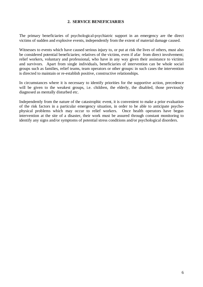#### **2. SERVICE BENEFICIARIES**

The primary beneficiaries of psychological-psychiatric support in an emergency are the direct victims of sudden and explosive events, independently from the extent of material damage caused.

Witnesses to events which have caused serious injury to, or put at risk the lives of others, must also be considered potential beneficiaries; relatives of the victims, even if afar from direct involvement; relief workers, voluntary and professional, who have in any way given their assistance to victims and survivors. Apart from single individuals, beneficiaries of intervention can be whole social groups such as families, relief teams, team operators or other groups: in such cases the intervention is directed to maintain or re-establish positive, constructive relationships.

In circumstances where it is necessary to identify priorities for the supportive action, precedence will be given to the weakest groups, i.e. children, the elderly, the disabled, those previously diagnosed as mentally disturbed etc.

Independently from the nature of the catastrophic event, it is convenient to make a prior evaluation of the risk factors in a particular emergency situation, in order to be able to anticipate psychophysical problems which may occur to relief workers. Once health operators have begun intervention at the site of a disaster, their work must be assured through constant monitoring to identify any signs and/or symptoms of potential stress conditions and/or psychological disorders.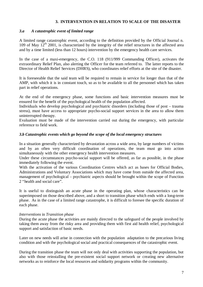## **3. INTERVENTION IN RELATION TO SCALE OF THE DISASTER**

## *3.a A catastrophic event of limited range*

A limited range catastrophic event, according to the definition provided by the Official Journal n. 109 of May  $12^{th}$  2001, is characterized by the integrity of the relief structures in the affected area and by a time limited (less than 12 hours) intervention by the emergency health care services.

In the case of a maxi-emergency, the C.O. 118 (911/999 Commanding Officer), activates the extraordinary Relief Plan, also alerting the Officer for the team referred to. The latter reports to the Director of Health Relief Services (DHRS), who coordinates relief efforts at the site of the disaster.

It is foreseeable that the said team will be required to remain in service for longer than that of the AMP, with which it is in constant touch, so as to be available to all the personnel which has taken part in relief operations.

At the end of the emergency phase, some functions and basic intervention measures must be ensured for the benefit of the psychological health of the population affected.

Individuals who develop psychological and psychiatric disorders (including those of post – trauma stress), must have access to appropriate psycho-social support services in the area to allow them uninterrupted therapy.

Evaluation must be made of the intervention carried out during the emergency, with particular reference to field work.

## *3.b Catastrophic events which go beyond the scope of the local emergency structures*

In a situation generally characterized by devastation across a wide area, by large numbers of victims and by an often very difficult coordination of operations, the team must go into action simultaneously with the other emergency health intervention measures.

Under these circumstances psycho-social support will be offered, as far as possible, in the phase immediately following the event.

With the activation of the various Coordination Centres which act as bases for Official Bodies, Administrations and Voluntary Associations which may have come from outside the affected area, management of psychological – psychiatric aspects should be brought within the scope of Function 2 "health and social care".

It is useful to distinguish an acute phase in the operating plan, whose characteristics can be superimposed on those described above, and a short to transition phase which ends with a long-term phase. As in the case of a limited range catastrophe, it is difficult to foresee the specific duration of each phase.

#### *Interventions* in *Transition phase*

During the acute phase the activities are mainly directed to the safeguard of the people involved by taking them away from the risky area and providing them with first aid health relief, psychological support and satisfaction of basic needs.

Later on new needs will arise in connection with the population adaptation to the precarious living condition and with the psychological social and practical consequences of the catastrophic event.

During the transition phase the team will not only deal with activities supporting the population, but also with those reinstalling the pre-existent social support network or creating new alternative networks as to reinforce the local resources and solidarity programs within the community.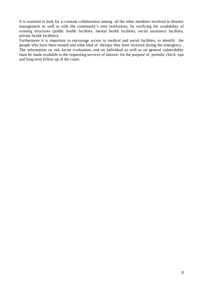It is essential to look for a constant collaboration among all the other members involved in disaster management as well as with the community's own institutions, by verifying the availability of existing structures (public health facilities, mental health facilities, social assistance facilities, private health facilities).

Furthermore it is important to encourage access to medical and social facilities, to identify the people who have been treated and what kind of therapy they have received during the emergency . The information on risk factor evaluations and on individual as well as on general vulnerability must be made available to the requesting services of interest for the purpose of periodic check -ups and long term follow up of the cases.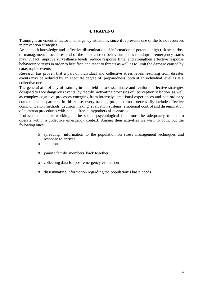# **4. TRAINING**

Training is an essential factor in emergency situations, since it represents one of the basic resources in prevention strategies.

An in depth knowledge and effective dissemination of information of potential high risk scenarios, of management procedures and of the most correct behaviour codes to adopt in emergency states may, in fact, improve surveillance levels, reduce response time, and strengthen effective response behaviour patterns in order to best face and react to threats as well as to limit the damage caused by catastrophic events.

Research has proven that a part of individual and collective stress levels resulting from disaster events may be reduced by an adequate degree of preparedness, both at an individual level as at a collective one.

The general aim of any of training in this field is to disseminate and reinforce effective strategies designed to face dangerous events, by readily activating processes of perception selection as well as complex cognitive processes emerging from intensely emotional experiences and non ordinary communication patterns. In this sense, every training program must necessarily include effective communication methods, decision making, evaluation systems, emotional control and dissemination of common procedures within the different hypothetical scenarios.

Professional experts working in the socio- psychological field must be adequately trained to operate within a collective emergency context. Among their activities we wish to point out the following ones:

- o spreading information to the population on stress management techniques and response to critical
- o situations
- o joining family members back together
- o collecting data for post-emergency evaluation
- o disseminating information regarding the population's basic needs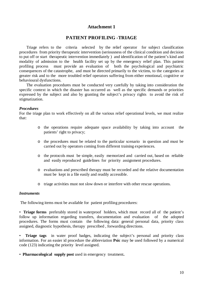# **Attachment 1**

# **PATIENT PROFILING -TRIAGE**

 Triage refers to the criteria selected by the relief operator for subject classification procedures from priority therapeutic intervention (seriousness of the clinical condition and decision to put off or start therapeutic intervention immediately ) and identification of the patient's kind and modality of admission to the health facility set up by the emergency relief plan. This patient profiling process must provide an evaluation of both the psychological and psychiatric consequences of the catastrophe, and must be directed primarily to the victims, to the categories at greater risk and to the more troubled relief operators suffering from either emotional, cognitive or behavioural dysfunctions.

 The evaluation procedures must be conducted very carefully by taking into consideration the specific context in which the disaster has occurred as well as the specific demands or priorities expressed by the subject and also by granting the subject's privacy rights to avoid the risk of stigmatization.

#### *Procedures*

For the triage plan to work effectively on all the various relief operational levels, we must realize that:

- o the operations require adequate space availability by taking into account the patients' right to privacy;
- o the procedures must be related to the particular scenario in question and must be carried out by operators coming from different training experiences.
- o the protocols must be simple, easily memorized and carried out, based on reliable and easily reproduced guidelines for priority assignment procedures.
- o evaluations and prescribed therapy must be recorded and the relative documentation must be kept in a file easily and readily accessible.
- o triage activities must not slow down or interfere with other rescue operations.

#### *Instruments*

The following items must be available for patient profiling procedures:

• **Triage forms** preferably stored in waterproof holders, which must record all of the patient's follow up information regarding transfers, documentation and evaluation of the adopted procedures. The forms must contain the following data: general personal data, priority class assigned, diagnostic hypothesis, therapy prescribed , forwarding directions.

• **Triage tags** in water proof badges, indicating the subject's personal and priority class information. For an easier id procedure the abbreviation **Psic** may be used followed by a numerical code (123) indicating the priority level assigned.

• **Pharmacological supply post** used in emergency treatment**.**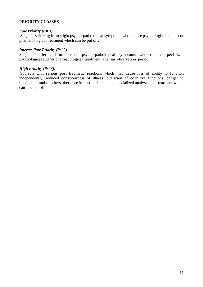## **PRIORITY CLASSES**

## *Low Priority (Psi 1)*

 Subjects suffering from slight psycho-pathological symptoms who require psychological support or pharmacological treatment which can be put off.

## *Intermediate Priority (Psi 2)*

Subjects suffering from serious psycho-pathological symptoms who require specialized psychological and /or pharmacological treatment, after an observation period.

## *High Priority (Psi 3))*

 Subjects with serious post traumatic reactions which may cause loss of ability to function independently, reduced consciousness of illness, alteration of cognitive functions, danger to him/herself and to others, therefore in need of immediate specialized analysis and treatment which can't be put off.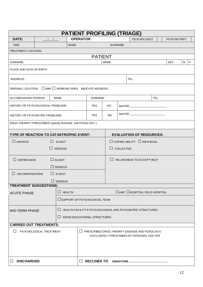|                                                           |  |                | <b>PATIENT PROFILING (TRIAGE)</b> |                                         |       |                                                              |                                                                                                   |  |                     |   |   |
|-----------------------------------------------------------|--|----------------|-----------------------------------|-----------------------------------------|-------|--------------------------------------------------------------|---------------------------------------------------------------------------------------------------|--|---------------------|---|---|
| DATE:                                                     |  |                | <b>OPERATOR</b>                   |                                         |       |                                                              | <b>PSYCHOLOGST</b>                                                                                |  | <b>PSYCHIATRIST</b> |   |   |
| TIME:                                                     |  |                | NAME:                             |                                         |       | SURNAME:                                                     |                                                                                                   |  |                     |   |   |
| TREATMENT LOCATION:                                       |  |                |                                   |                                         |       |                                                              |                                                                                                   |  |                     |   |   |
|                                                           |  |                |                                   | <b>PATIENT</b>                          |       |                                                              |                                                                                                   |  |                     |   |   |
| SURNAME:                                                  |  |                |                                   |                                         | NAME: |                                                              |                                                                                                   |  | <b>SEX</b>          | M | F |
| PLACE AND DATE OF BIRTH:                                  |  |                |                                   |                                         |       |                                                              |                                                                                                   |  |                     |   |   |
| ADDRESS:                                                  |  |                |                                   |                                         |       |                                                              | TEL:                                                                                              |  |                     |   |   |
| ORIGINAL LOCATION: □ AMP □ WORKING AREA INDICATE ADDRESS: |  |                |                                   |                                         |       |                                                              |                                                                                                   |  |                     |   |   |
| <b>ACCOMPANYING PERSON</b><br>NAME:                       |  |                |                                   | SURNAME:                                | TEL:  |                                                              |                                                                                                   |  |                     |   |   |
| HISTORY OF PSYCHOLOGICAL PROBLEMS                         |  |                |                                   | <b>YES</b>                              | NO.   | $(specify)$ :                                                |                                                                                                   |  |                     |   |   |
| <b>HISTORY OF PSYCHIATRIC PROBLEMS</b>                    |  |                |                                   | <b>YES</b>                              | NO.   | (specify):                                                   |                                                                                                   |  |                     |   |   |
| DRUG THERAPY PRESCRIBED (specify DOSAGE and POSOLOGY):    |  |                |                                   |                                         |       |                                                              |                                                                                                   |  |                     |   |   |
| TYPE OF REACTION TO CATASTROPHIC EVENT:                   |  |                |                                   |                                         |       |                                                              | <b>EVALUATION OF RESOURCES:</b>                                                                   |  |                     |   |   |
| $\Box$ ANXIOUS                                            |  | $\Box$ SLIGHT  |                                   | $\Box$ COPING ABILITY $\Box$ INDIVIDUAL |       |                                                              |                                                                                                   |  |                     |   |   |
| $\Box$ SERIOUS                                            |  |                |                                   | $\Box$<br>COLLECTIVE                    |       |                                                              |                                                                                                   |  |                     |   |   |
| $\Box$ SLIGHT<br>$\Box$ DEPRESSION                        |  |                |                                   | $\Box$ WILLINGNESS TO ACCEPT HELP       |       |                                                              |                                                                                                   |  |                     |   |   |
|                                                           |  | $\Box$ SERIOUS |                                   |                                         |       |                                                              |                                                                                                   |  |                     |   |   |
| $\Box$ SLIGHT<br>$\Box$<br><b>DECOMPENSATION</b>          |  |                |                                   |                                         |       |                                                              |                                                                                                   |  |                     |   |   |
|                                                           |  | $\Box$ SERIOUS |                                   |                                         |       |                                                              |                                                                                                   |  |                     |   |   |
| <b>TREATMENT SUGGESTIONS:</b>                             |  |                |                                   |                                         |       |                                                              |                                                                                                   |  |                     |   |   |
| $\Box$ HEALTH<br><b>ACUTE PHASE</b>                       |  |                |                                   |                                         |       | $\Box$ AMP $\Box$ HOSPITAL/FIELD HOSPITAL                    |                                                                                                   |  |                     |   |   |
|                                                           |  |                |                                   | □ SUPPORT OF PSYCHO-SOCIAL TEAM         |       |                                                              |                                                                                                   |  |                     |   |   |
| <b>MID-TERM PHASE</b>                                     |  |                |                                   |                                         |       | □ HEALTH FACILITY'S PSYCHOLOGICAL AND PSYCHIATRIC STRUCTURES |                                                                                                   |  |                     |   |   |
| ப                                                         |  |                |                                   | SOCIO-EDUCATIONAL STRUCTURES            |       |                                                              |                                                                                                   |  |                     |   |   |
| <b>CARRIED OUT TREATMENTS:</b>                            |  |                |                                   |                                         |       |                                                              |                                                                                                   |  |                     |   |   |
| ΙI<br>PSYCHOLOGICAL TREATMENT                             |  |                |                                   |                                         |       |                                                              | $\Box$ PRESCRIBED DRUG THERAPY (DOSAGE AND POSOLOGY)<br>EXCLUSIVELY PRESCRIBED BY PERSONAL DOCTOR |  |                     |   |   |
| <b>DISCHARGED</b><br>ப                                    |  |                |                                   | <b>DECLINES TO</b>                      |       |                                                              |                                                                                                   |  |                     |   |   |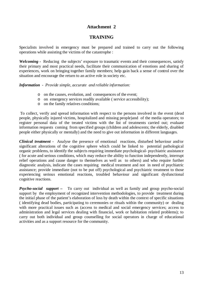# **Attachment 2**

# **TRAINING**

Specialists involved in emergency must be prepared and trained to carry out the following operations while assisting the victims of the catastrophe :

*Welcoming -* Reducing the subjects' exposure to traumatic events and their consequences, satisfy their primary and most practical needs, facilitate their communication of emotions and sharing of experiences, work on bringing together family members; help gain back a sense of control over the situation and encourage the return to an active role in society etc.

*Information - Provide simple, accurate and reliable information:*

- o on the causes, evolution, and consequences of the event;
- o on emergency services readily available ( service accessibility);
- o on the family relatives conditions;

 To collect, verify and spread information with respect to the persons involved in the event (dead people, physically injured victims, hospitalized and missing people)and of the media operators; to register personal data of the treated victims with the list of treatments carried out; evaluate information requests coming from specified groups (children and adolescents; the elderly, disabled people either physically or mentally) and the need to give out information in different languages.

*Clinical treatment -* Analyse the presence of emotional reactions, disturbed behaviour and/or significant alterations of the cognitive sphere which could be linked to potential pathological organic problems, to identify the subjects requiring immediate psychological- psychiatric assistance ( for acute and serious conditions, which may reduce the ability to function independently, interrupt relief operations and cause danger to themselves as well as to others) and who require further diagnostic analysis, indicate the cases requiring medical treatment and not in need of psychiatric assistance; provide immediate (not to be put off) psychological and psychiatric treatment to those experiencing serious emotional reactions, troubled behaviour and significant dysfunctional cognitive reactions.

*Psycho-social support –* To carry out individual as well as family and group psycho-social support by the employment of recognized intervention methodologies, to provide treatment during the initial phase of the patient's elaboration of loss by death within the context of specific situations ( identifying dead bodies, participating to ceremonies or rituals within the community) or dealing with more practical issues such as (access to medical and social emergency services; access to administration and legal services dealing with financial, work or habitation related problems); to carry out both individual and group counselling for social operators in charge of educational activities and as a support resource for the community.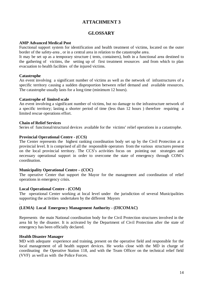# **ATTACHMENT 3**

# **GLOSSARY**

## **AMP Advanced Medical Post**

Functional support system for identification and health treatment of victims, located on the outer border of the safety-area , or in a central area in relation to the catastrophe area.

It may be set up as a temporary structure ( tents, containers), both in a functional area destined to the gathering of victims, the setting up of first treatment resources and from which to plan evacuation to health facilities of the injured victims.

## **Catastrophe**

An event involving a significant number of victims as well as the network of infrastructures of a specific territory causing a sudden disproportion between relief demand and available resources. The catastrophe usually lasts for a long time (minimum 12 hours).

## **Catastrophe of limited scale**

An event involving a significant number of victims, but no damage to the infrastructure network of a specific territory; lasting a shorter period of time (less than 12 hours ) therefore requiring a limited rescue operations effort.

## **Chain of Relief Services**

Series of functional/structural devices available for the victims' relief operations in a catastrophe.

## **Provincial Operational Centre - (CCS)**

The Center represents the highest ranking coordination body set up by the Civil Protection at a provincial level. It is comprised of all the responsible operators from the various structures present on the local provincial territory. The CCS's activities focus on pointing out strategies and necessary operational support in order to overcome the state of emergency through COM's coordination.

## **Municipality Operational Centre – (**COC)

The operative Center that support the Mayor for the management and coordination of relief operations in emergency crisis.

## **Local Operational Centre -** (COM)

The operational Center working at local level under the jurisdiction of several Municipalities supporting the activities undertaken by the different Mayors

## **(LEMA) Local Emergency Management Authority -** (DICOMAC)

Represents the main National coordination body for the Civil Protection structures involved in the area hit by the disaster. It is activated by the Department of Civil Protection after the state of emergency has been officially declared.

## **Health Disaster Manager**

.

MD with adequate experience and training, present on the operative field and responsible for the local management of all health support devices. He works close with the MD in charge of coordinating the Operative Station 118, and with the Team Officer on the technical relief field (VVF) as well as with the Police Forces.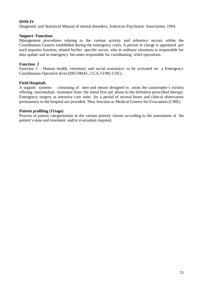## **DSM-IV**

Diagnostic and Statistical Manual of mental disorders, American Psychiatric Association, 1994.

#### **Support Functions**

Management procedures relating to the various activity and reference sectors within the Coordination Centers established during the emergency crisis. A person in charge is appointed per each separate function, related his/her specific sector, who in ordinary situations is responsible for data update and in emergency becomes responsible for coordinating relief operations.

## **Function 2**

Function 2 – Human health, veterinary and social assistance- to be activated on a Emergency Coordination Operative level (DICOMAC, CCS, COM, COC).

## **Field Hospitals**

A support systems consisting of men and means designed to assist the catastrophe's victims offering intermediate treatment from the initial first aid phase to the definitive prescribed therapy. Emergency surgery as intensive care units for a period of several hours and clinical observation permanence in the hospital are provided. They function as Medical Centers for Evacuation (CME).

## **Patient profiling (Triage)**

Process of patient categorization in the various priority classes according to the assessment of the patient's state and treatment and/or evacuation required.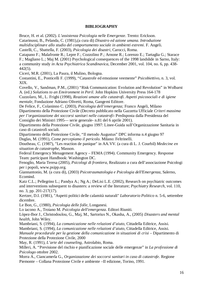## **BIBLIOGRAPHY**

Bruce, H. et al. (2002). *L'assistenza Psicologia nelle Emergenze*. Trento: Erickson. Catarinussi, B., Pelanda, C. (1981),(a cura di) *Disastro ed azione umana. Introduzione multidisciplinare allo studio del comportamento sociale in ambienti estremi*. F. Angeli.

Castelli, C., Sbattella, F. (2003), *Psicologia dei disastri*, Carocci, Roma.

Catapano F.; Malafronte R.; Lepre F.; Cozzolino P.; Arnone R.; Lorenzo E.; Tartaglia G.; Starace F.; Magliano L.; Maj M. (2001) Psychological consequences of the 1998 landslide in Sarno, Italy: a community study *in Acta Psychiatrica Scandinavica*, December 2001, vol. 104, no. 6, pp. 438- 442(5).

Ciceri, M.R. (2001), La Paura, il Mulino, Bologna.

Costantini, E., Ponticelli F. (1999), "Catastrofe ed emozione veemente" *Psicobiettivo,* n. 3, vol. XIX.

Covello, V., Sandman, P.M., (2001) "Risk Communication: Evolution and Revolution" in Wolbarst A. (ed.) *Solutions to an Environment in Peril.* John Hopkins University Press 164-178

Cuzzolaro, M., L. Frighi (1998), *Reazioni umane alle catastrofi. Aspetti psicosociali e di igiene mentale*, Fondazione Adriano Olivetti, Roma, Gangemi Editore.

De Felice, F., Colaninno C. (2003), *Psicologia dell'emergenza;* Franco Angeli, Milano Dipartimento della Protezione Civile (Decreto pubblicato nella Gazzetta Ufficiale *Criteri massima per l'organizzazione dei soccorsi sanitari nelle catastrofi-* Predisposta dalla Presidenza del Consiglio dei Ministri 1995–– serie generale- n.81 del 6 aprile 2001).

Dipartimento della Protezione Civile, giugno 1997: Linee-Guida sull'Organizzazione Sanitaria in caso di catastrofi sociali.

Dipartimento della Protezione Civile, "Il metodo Augustus" DPC informa n.4 giugno 97 Duglas, M. (1991), *Come percepiamo il pericolo*. Milano: Feltrinelli.

Doutheau, C. (1987), "Les reaction de panique" in AA.VV. (a cura di L. J. Courbil) *Medecine en situation de catastrophe*, Masson.

Federal Emergency Menagement Agency – FEMA (1994). Community Emergency. Response Team: participant Handbook: Washington DC.

Fenoglio, Maria Teresa (2005), *Psicologi di frontiera,* Realizzato a cura dell'associazione Psicologi per i popoli, www.psipp.org.

Giannantonio, M. (a cura di), (2003) *Psicotraumatologia e Psicologia dell'Emergenza*, Salerno, Ecomind.

Katz C.L.; Pellegrino L.; Pandya A.; Ng A.; DeLisi L.E. (2002), Research on psychiatric outcomes and interventions subsequent to disasters: a review of the literature; *Psychiatry Research,* vol. 110, no. 3, pp. 201-217(17).

Kertzer, D.I. (1981), "Aspetti politici delle calamità naturali" *Laboratorio Politico* n. 5-6, settembre dicembre.

Le Bon, G., (1980), *Psicologia delle folle,* Longanesi.

Lo iacono A., Troiano M. *Psicologia dell'emergenza*. Editori Riuniti.

Lòpez-Ibor J., Christodoulou, G., Maj, M., Sartorius N., Okasha, A., (2005) *Disasters and mental health*, John Wiley.

Mambriani, S. (1994), *La comunicazione nelle relazioni d'aiuto*, Cittadella Editrice, Assisi.

Mambriani, S. (1994), *La comunicazione nelle relazioni d'aiuto*, Cittadella Editrice, Assisi.

*Manuale procedurale per la gestione della comunicazione in situazioni di crisi* – Dipartimento di Protezione della Protezione Civile, 2000

May, R. (1991), *L'arte del counseling,* Astrolabio, Roma.

Milleri, A. "Previsione del rischio e pianificazione sociale delle emergenze" in *La professione di Psicologo* ottobre 2002.

Morra A., Ciancamerla G., *Organizzazione dei soccorsi sanitari in caso di catastrofe*. Regione Piemonte – Collana Protezione Civile e ambiente –II edizione, Torino, 1991.